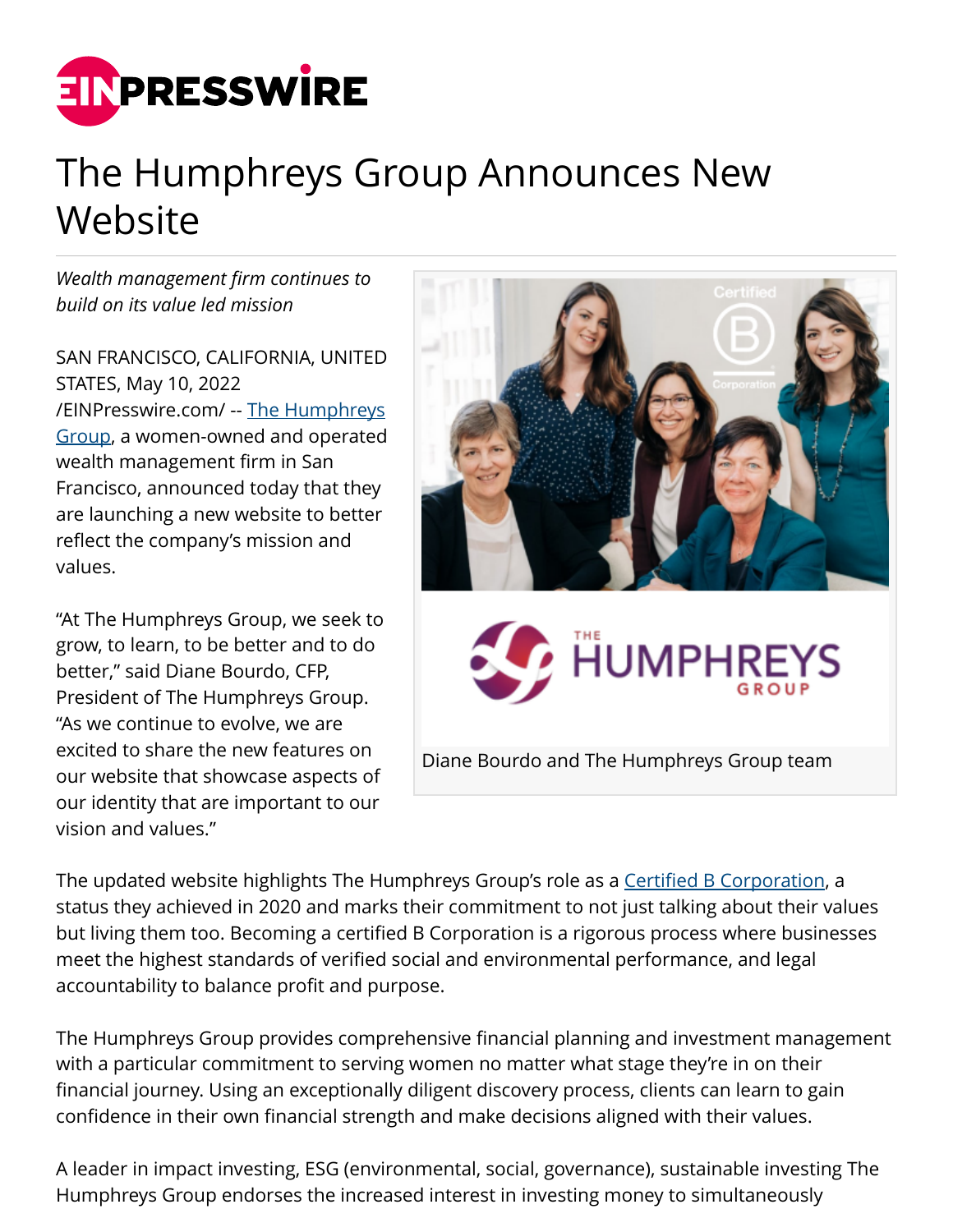

## The Humphreys Group Announces New Website

*Wealth management firm continues to build on its value led mission*

SAN FRANCISCO, CALIFORNIA, UNITED STATES, May 10, 2022 [/EINPresswire.com/](http://www.einpresswire.com) -- [The Humphreys](https://humphreysgroup.com/) [Group](https://humphreysgroup.com/), a women-owned and operated wealth management firm in San Francisco, announced today that they are launching a new website to better reflect the company's mission and values.

"At The Humphreys Group, we seek to grow, to learn, to be better and to do better," said Diane Bourdo, CFP, President of The Humphreys Group. "As we continue to evolve, we are excited to share the new features on our website that showcase aspects of our identity that are important to our vision and values."



The updated website highlights The Humphreys Group's role as a [Certified B Corporation](https://www.bcorporation.net/en-us), a status they achieved in 2020 and marks their commitment to not just talking about their values but living them too. Becoming a certified B Corporation is a rigorous process where businesses meet the highest standards of verified social and environmental performance, and legal accountability to balance profit and purpose.

The Humphreys Group provides comprehensive financial planning and investment management with a particular commitment to serving women no matter what stage they're in on their financial journey. Using an exceptionally diligent discovery process, clients can learn to gain confidence in their own financial strength and make decisions aligned with their values.

A leader in impact investing, ESG (environmental, social, governance), sustainable investing The Humphreys Group endorses the increased interest in investing money to simultaneously